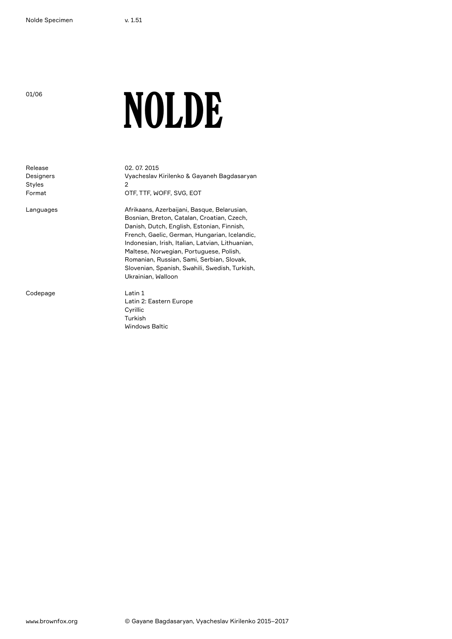01/06

## NOLDE

Release Designers Styles Format Languages Codepage 02. 07. 2015 Vyacheslav Kirilenko & Gayaneh Bagdasaryan 2 OTF, TTF, WOFF, SVG, EOT Afrikaans, Azerbaijani, Basque, Belarusian, Bosnian, Breton, Catalan, Croatian, Czech, Danish, Dutch, English, Estonian, Finnish, French, Gaelic, German, Hungarian, Icelandic, Indonesian, Irish, Italian, Latvian, Lithuanian, Maltese, Norwegian, Portuguese, Polish, Romanian, Russian, Sami, Serbian, Slovak, Slovenian, Spanish, Swahili, Swedish, Turkish, Ukrainian, Walloon Latin 1 Latin 2: Eastern Europe Cyrillic Turkish Windows Baltic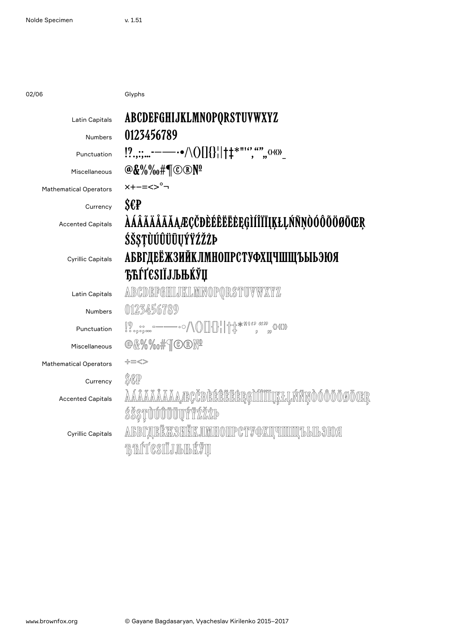02/06 Glyphs

| Latin Capitals                | ABCDEFGHIJKLMNOPQRSTUVWXYZ                                                |
|-------------------------------|---------------------------------------------------------------------------|
| <b>Numbers</b>                | 0123456789                                                                |
| Punctuation                   | $\left[?_{.;::} \right]$ ----- •/\()[]{}  † $\downarrow$ *"'", "", 0<0)   |
| Miscellaneous                 | $@$ &%%#¶©®Nº                                                             |
| <b>Mathematical Operators</b> | $x+--<>^{\circ}$ ¬                                                        |
| Currency                      | $S\epsilon P$                                                             |
| <b>Accented Capitals</b>      | <i><b>AÁÂÄÄÄÄÄÆÇČÐÈÉÊËĒĖĘGÌÍÎÏĪĮĶŁĻŃÑŅÒÓÔÕÖØŌŒR</b></i>                   |
|                               | ŚŠŞŢÙÚÛÜŪŲÝŸŹŽŻÞ                                                          |
| <b>Cyrillic Capitals</b>      | АБВГДЕЁЖЗИЙКЛМНОПРСТУФХЦЧШЩЪЫЬЭЮЯ                                         |
|                               | <b>ЂЋЃЃЄЅІЇЈЉЊЌЎЏ</b>                                                     |
| Latin Capitals                | ABCDEFGEILLELMNOPQRSTUVWXYZ                                               |
| <b>Numbers</b>                | 0123456789                                                                |
| Punctuation                   | $\text{NN} \left( \text{NN} \right) = \text{NN} \left( \text{NN} \right)$ |
| Miscellaneous                 | @&%%#TO®Nº                                                                |
| <b>Mathematical Operators</b> | ╬≡≪≫                                                                      |
| Currency                      | SCP                                                                       |
| <b>Accented Capitals</b>      | <u>AAAAAAAAaæçčdèéêëeegìííîiijkluńñnoóôöoocr</u>                          |
|                               | <i>ŚŠST</i> ŪŬŰŰŨŲÝŸ <i>ĹĹĿ</i>                                           |
| <b>Cyrillic Capitals</b>      | <u>ALBILINË XXSHËIK JIMHOIIP CTY QXII TIDIDIT LEILOKO A</u>               |
|                               | <b>BETGSILJISHKVU</b>                                                     |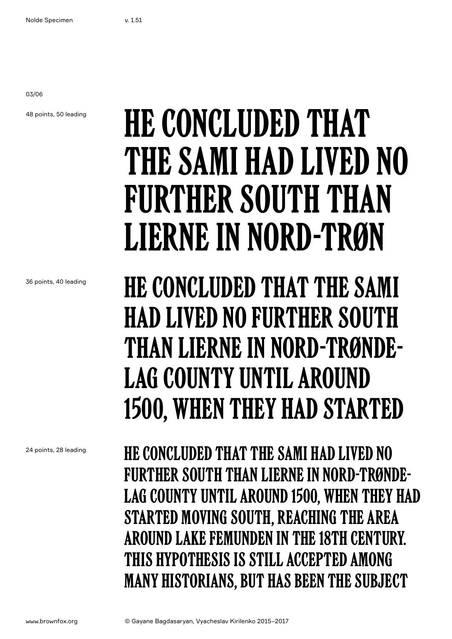03/06

48 points, 50 leading

## He concluded that the Sami had lived no FURTHER SOUTH THAN Lierne in Nord-Trøn

36 points, 40 leading

He concluded that the Sami had lived no further south than Lierne in Nord-Trøndelag county until around 1500, when they had started

He concluded that the Sami had lived no further south than Lierne in Nord-Trøndelag county until around 1500, when they had started moving south, reaching the area around Lake Femunden in the 18th century. This hypothesis is still accepted among many historians, but has been the subject

24 points, 28 leading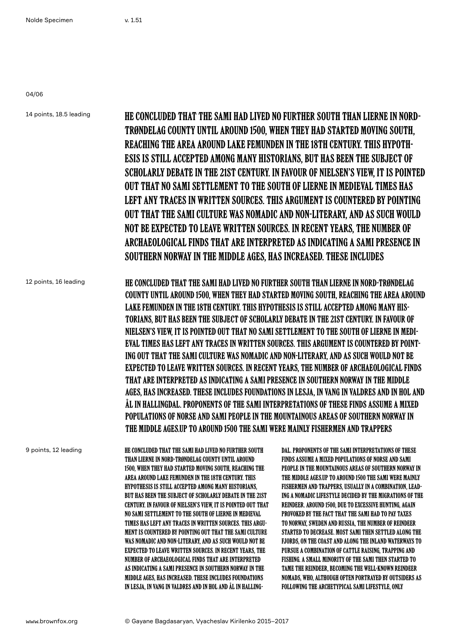04/06

14 points, 18.5 leading 12 points, 16 leading 9 points, 12 leading He concluded that the Sami had lived no further south than Lierne in Nord-Trøndelag county until around 1500, when they had started moving south, reaching the area around Lake Femunden in the 18th century. This hypothesis is still accepted among many historians, but has been the subject of scholarly debate in the 21st century. In favour of Nielsen's view, it is pointed out that no Sami settlement to the south of Lierne in medieval times has left any traces in written sources. This argument is countered by pointing out that the Sami culture was nomadic and non-literary, and as such would not be expected to leave written sources. In recent years, the number of archaeological finds that are interpreted as indicating a Sami presence in Southern Norway in the Middle Ages, has increased. These includes He concluded that the Sami had lived no further south than Lierne in Nord-Trøndelag county until around 1500, when they had started moving south, reaching the area around Lake Femunden in the 18th century. This hypothesis is still accepted among many historians, but has been the subject of scholarly debate in the 21st century. In favour of Nielsen's view, it is pointed out that no Sami settlement to the south of Lierne in medieval times has left any traces in written sources. This argument is countered by pointing out that the Sami culture was nomadic and non-literary, and as such would not be expected to leave written sources. In recent years, the number of archaeological finds that are interpreted as indicating a Sami presence in Southern Norway in the Middle Ages, has increased. These includes foundations in Lesja, in Vang in Valdres and in Hol and Ål in Hallingdal. Proponents of the Sami interpretations of these finds assume a mixed populations of Norse and Sami people in the mountainous areas of Southern Norway in the Middle Ages.Up to around 1500 the Sami were mainly fishermen and trappers He concluded that the Sami had lived no further south than Lierne in Nord-Trøndelag county until around 1500, when they had started moving south, reaching the area around Lake Femunden in the 18th century. This hypothesis is still accepted among many historians, but has been the subject of scholarly debate in the 21st century. In favour of Nielsen's view, it is pointed out that no Sami settlement to the south of Lierne in medieval times has left any traces in written sources. This argument is countered by pointing out that the Sami culture was nomadic and non-literary, and as such would not be expected to leave written sources. In recent years, the number of archaeological finds that are interpreted as indicating a Sami presence in Southern Norway in the Middle Ages, has increased. These includes foundations dal. Proponents of the Sami interpretations of these finds assume a mixed populations of Norse and Sami people in the mountainous areas of Southern Norway in the Middle Ages.Up to around 1500 the Sami were mainly fishermen and trappers, usually in a combination, leading a nomadic lifestyle decided by the migrations of the reindeer. Around 1500, due to excessive hunting, again provoked by the fact that the Sami had to pay taxes to Norway, Sweden and Russia, the number of reindeer started to decrease. Most Sami then settled along the fjords, on the coast and along the inland waterways to pursue a combination of cattle raising, trapping and fishing. A small minority of the Sami then started to tame the reindeer, becoming the well-known reindeer nomads, who, although often portrayed by outsiders as

following the archetypical Sami lifestyle, only

in Lesja, in Vang in Valdres and in Hol and Ål in Halling-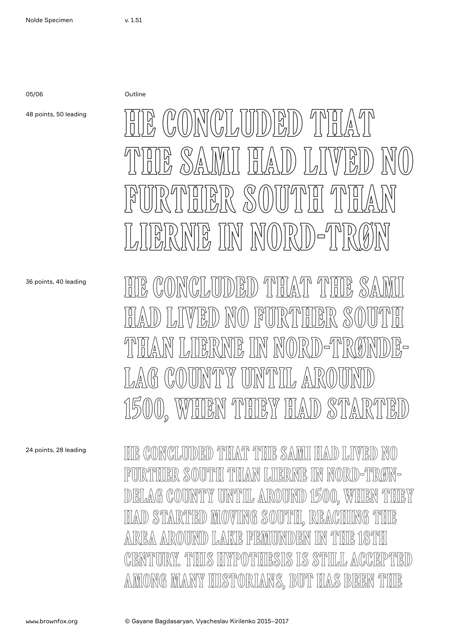05/06 Outline

48 points, 50 leading

36 points, 40 leading

HE CONCLUDED THAT THE SA had lived no further south than Lierne in Nord-Trønde-LAG COUNTY UNTIL AROUND 1500, when they had started

 $\mathbb{E} \left( \mathbb{E} \left( \mathbb{E} \left( \mathbb{E} \left( \mathbb{E} \left[ \mathbb{E} \left[ \mathbb{E} \left[ \mathbb{E} \left[ \mathbb{E} \left[ \mathbb{E} \left[ \mathbb{E} \right] \right] \right] \right] \right] \right) \right] \mathbb{E} \right) \right) \mathbb{E} \left( \mathbb{E} \left( \mathbb{E} \left[ \mathbb{E} \left[ \mathbb{E} \left[ \mathbb{E} \left[ \mathbb{E} \left[ \mathbb{E} \left[ \mathbb{E} \left[ \mathbb{E} \left[ \$ 

the Sami had LIVED NO

further south than

 $\mathbb{E}[\mathbb{E}[\mathbb{E}[\mathbb{E}[\mathbb{E}[\mathbb{E}[\mathbb{E}[\mathbb{E}[\mathbb{E}[\mathbb{E}[\mathbb{E}[\mathbb{E}[\mathbb{E}[\mathbb{E}[\mathbb{E}[\mathbb{E}[\mathbb{E}[\mathbb{E}[\mathbb{E}[\mathbb{E}[\mathbb{E}[\mathbb{E}[\mathbb{E}[\mathbb{E}[\mathbb{E}[\mathbb{E}[\mathbb{E}[\mathbb{E}[\mathbb{E}[\mathbb{E}[\mathbb{E}[\mathbb{E}[\mathbb{E}[\mathbb{E}[\mathbb{E}[\mathbb{E}[\mathbb{$ 

24 points, 28 leading

He concluded that the Sami had lived no further south than Lierne in Nord-Trøndelag county until around 1500, when they had started moving south, reaching the AREA AROUND LAKE FEMUNDEN IN THE 18TH century. This hypothesis is still accepted among many historians, but has been the